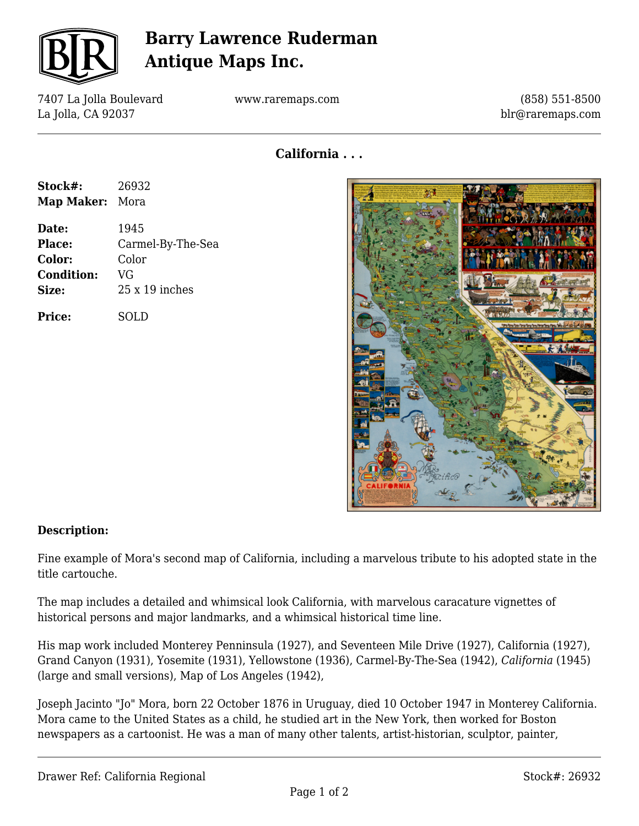

## **Barry Lawrence Ruderman Antique Maps Inc.**

7407 La Jolla Boulevard La Jolla, CA 92037

www.raremaps.com

(858) 551-8500 blr@raremaps.com

**California . . .**

| Stock#:<br>Map Maker: Mora | 26932             |
|----------------------------|-------------------|
|                            |                   |
| Place:                     | Carmel-By-The-Sea |
| Color:                     | Color             |
| <b>Condition:</b>          | VG                |
| Size:                      | 25 x 19 inches    |
| Price:                     | <b>SOLD</b>       |



## **Description:**

Fine example of Mora's second map of California, including a marvelous tribute to his adopted state in the title cartouche.

The map includes a detailed and whimsical look California, with marvelous caracature vignettes of historical persons and major landmarks, and a whimsical historical time line.

His map work included Monterey Penninsula (1927), and Seventeen Mile Drive (1927), California (1927), Grand Canyon (1931), Yosemite (1931), Yellowstone (1936), Carmel-By-The-Sea (1942), *California* (1945) (large and small versions), Map of Los Angeles (1942),

Joseph Jacinto "Jo" Mora, born 22 October 1876 in Uruguay, died 10 October 1947 in Monterey California. Mora came to the United States as a child, he studied art in the New York, then worked for Boston newspapers as a cartoonist. He was a man of many other talents, artist-historian, sculptor, painter,